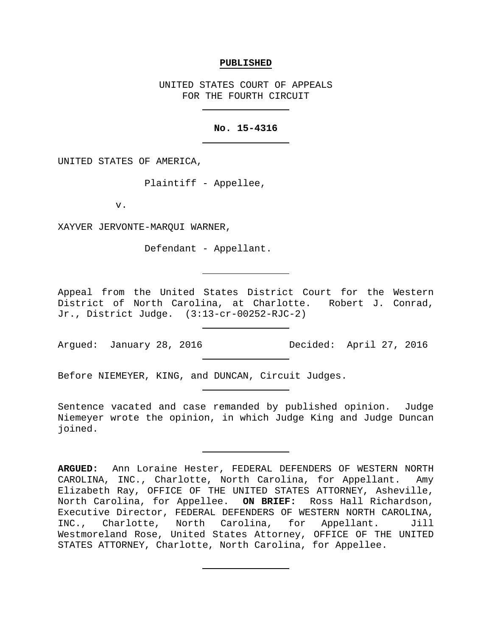## **PUBLISHED**

UNITED STATES COURT OF APPEALS FOR THE FOURTH CIRCUIT

## **No. 15-4316**

UNITED STATES OF AMERICA,

Plaintiff - Appellee,

v.

XAYVER JERVONTE-MARQUI WARNER,

Defendant - Appellant.

Appeal from the United States District Court for the Western District of North Carolina, at Charlotte. Robert J. Conrad, Jr., District Judge. (3:13-cr-00252-RJC-2)

Before NIEMEYER, KING, and DUNCAN, Circuit Judges.

Sentence vacated and case remanded by published opinion. Judge Niemeyer wrote the opinion, in which Judge King and Judge Duncan joined.

**ARGUED:** Ann Loraine Hester, FEDERAL DEFENDERS OF WESTERN NORTH CAROLINA, INC., Charlotte, North Carolina, for Appellant. Amy Elizabeth Ray, OFFICE OF THE UNITED STATES ATTORNEY, Asheville, North Carolina, for Appellee. **ON BRIEF:** Ross Hall Richardson, Executive Director, FEDERAL DEFENDERS OF WESTERN NORTH CAROLINA, INC., Charlotte, North Carolina, for Appellant. Jill Westmoreland Rose, United States Attorney, OFFICE OF THE UNITED STATES ATTORNEY, Charlotte, North Carolina, for Appellee.

Argued: January 28, 2016 Decided: April 27, 2016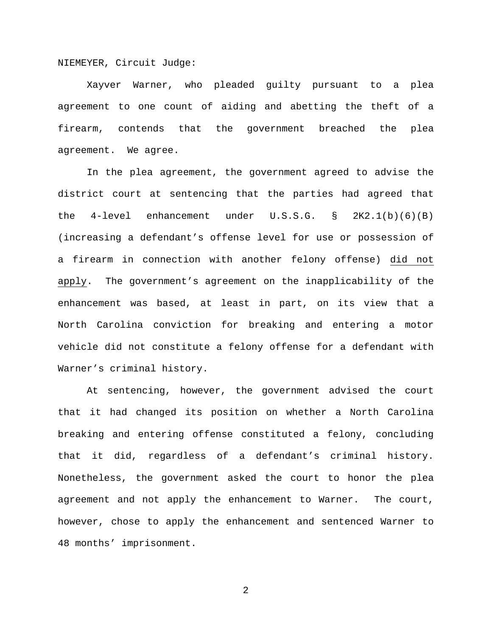NIEMEYER, Circuit Judge:

Xayver Warner, who pleaded guilty pursuant to a plea agreement to one count of aiding and abetting the theft of a firearm, contends that the government breached the plea agreement. We agree.

In the plea agreement, the government agreed to advise the district court at sentencing that the parties had agreed that the 4-level enhancement under U.S.S.G. § 2K2.1(b)(6)(B) (increasing a defendant's offense level for use or possession of a firearm in connection with another felony offense) did not apply. The government's agreement on the inapplicability of the enhancement was based, at least in part, on its view that a North Carolina conviction for breaking and entering a motor vehicle did not constitute a felony offense for a defendant with Warner's criminal history.

At sentencing, however, the government advised the court that it had changed its position on whether a North Carolina breaking and entering offense constituted a felony, concluding that it did, regardless of a defendant's criminal history. Nonetheless, the government asked the court to honor the plea agreement and not apply the enhancement to Warner. The court, however, chose to apply the enhancement and sentenced Warner to 48 months' imprisonment.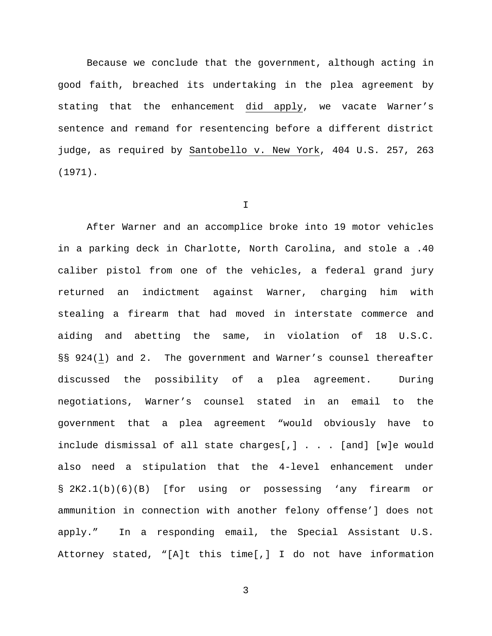Because we conclude that the government, although acting in good faith, breached its undertaking in the plea agreement by stating that the enhancement did apply, we vacate Warner's sentence and remand for resentencing before a different district judge, as required by Santobello v. New York, 404 U.S. 257, 263 (1971).

## I

After Warner and an accomplice broke into 19 motor vehicles in a parking deck in Charlotte, North Carolina, and stole a .40 caliber pistol from one of the vehicles, a federal grand jury returned an indictment against Warner, charging him with stealing a firearm that had moved in interstate commerce and aiding and abetting the same, in violation of 18 U.S.C. §§ 924(l) and 2. The government and Warner's counsel thereafter discussed the possibility of a plea agreement. During negotiations, Warner's counsel stated in an email to the government that a plea agreement "would obviously have to include dismissal of all state charges[,] . . . [and] [w]e would also need a stipulation that the 4-level enhancement under § 2K2.1(b)(6)(B) [for using or possessing 'any firearm or ammunition in connection with another felony offense'] does not apply." In a responding email, the Special Assistant U.S. Attorney stated, "[A]t this time[,] I do not have information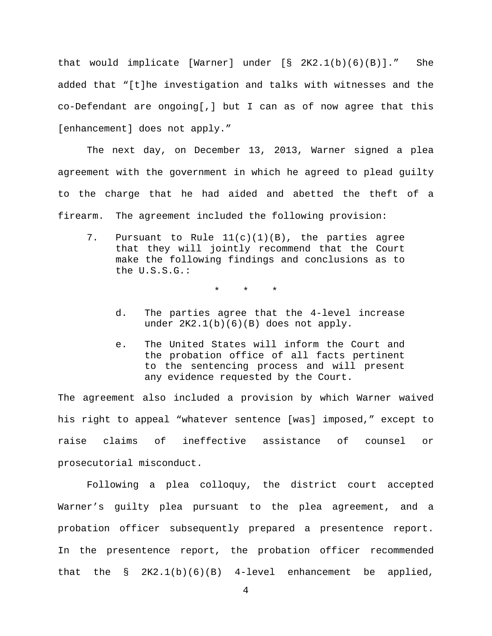that would implicate [Warner] under [§ 2K2.1(b)(6)(B)]." She added that "[t]he investigation and talks with witnesses and the co-Defendant are ongoing[,] but I can as of now agree that this [enhancement] does not apply."

The next day, on December 13, 2013, Warner signed a plea agreement with the government in which he agreed to plead guilty to the charge that he had aided and abetted the theft of a firearm. The agreement included the following provision:

7. Pursuant to Rule 11(c)(1)(B), the parties agree that they will jointly recommend that the Court make the following findings and conclusions as to the U.S.S.G.:

\* \* \*

- d. The parties agree that the 4-level increase under 2K2.1(b)(6)(B) does not apply.
- e. The United States will inform the Court and the probation office of all facts pertinent to the sentencing process and will present any evidence requested by the Court.

The agreement also included a provision by which Warner waived his right to appeal "whatever sentence [was] imposed," except to raise claims of ineffective assistance of counsel or prosecutorial misconduct.

Following a plea colloquy, the district court accepted Warner's guilty plea pursuant to the plea agreement, and a probation officer subsequently prepared a presentence report. In the presentence report, the probation officer recommended that the  $\S$   $2K2.1(b)(6)(B)$  4-level enhancement be applied,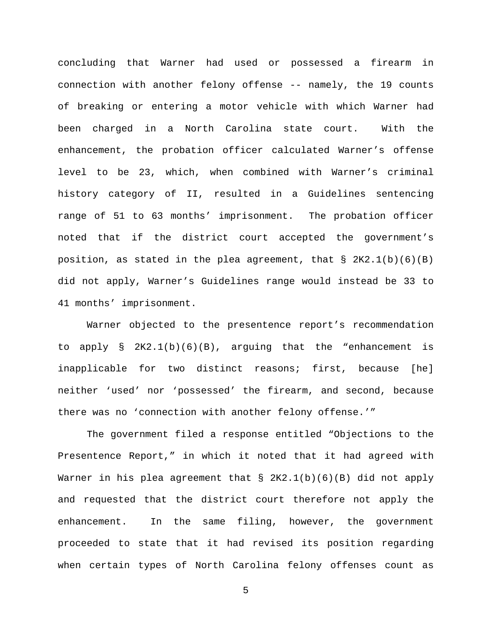concluding that Warner had used or possessed a firearm in connection with another felony offense -- namely, the 19 counts of breaking or entering a motor vehicle with which Warner had been charged in a North Carolina state court. With the enhancement, the probation officer calculated Warner's offense level to be 23, which, when combined with Warner's criminal history category of II, resulted in a Guidelines sentencing range of 51 to 63 months' imprisonment. The probation officer noted that if the district court accepted the government's position, as stated in the plea agreement, that  $\S$  2K2.1(b)(6)(B) did not apply, Warner's Guidelines range would instead be 33 to 41 months' imprisonment.

Warner objected to the presentence report's recommendation to apply  $\S$  2K2.1(b)(6)(B), arguing that the "enhancement is inapplicable for two distinct reasons; first, because [he] neither 'used' nor 'possessed' the firearm, and second, because there was no 'connection with another felony offense.'"

The government filed a response entitled "Objections to the Presentence Report," in which it noted that it had agreed with Warner in his plea agreement that § 2K2.1(b)(6)(B) did not apply and requested that the district court therefore not apply the enhancement. In the same filing, however, the government proceeded to state that it had revised its position regarding when certain types of North Carolina felony offenses count as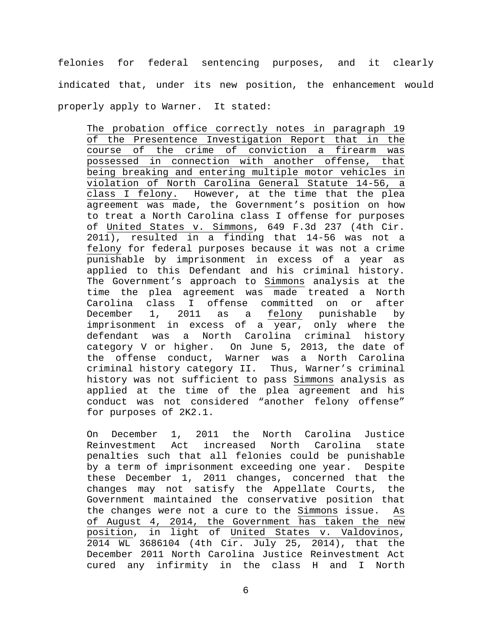felonies for federal sentencing purposes, and it clearly indicated that, under its new position, the enhancement would properly apply to Warner. It stated:

The probation office correctly notes in paragraph 19 of the Presentence Investigation Report that in the course of the crime of conviction a firearm was possessed in connection with another offense, that being breaking and entering multiple motor vehicles in violation of North Carolina General Statute 14-56, a class I felony. However, at the time that the plea agreement was made, the Government's position on how to treat a North Carolina class I offense for purposes of United States v. Simmons, 649 F.3d 237 (4th Cir. 2011), resulted in a finding that 14-56 was not a felony for federal purposes because it was not a crime punishable by imprisonment in excess of a year as applied to this Defendant and his criminal history. The Government's approach to Simmons analysis at the time the plea agreement was made treated a North Carolina class I offense committed on or after<br>December 1, 2011 as a felony punishable by December 1, 2011 as a felony punishable by imprisonment in excess of a year, only where the defendant was a North Carolina criminal history category V or higher. On June 5, 2013, the date of the offense conduct, Warner was a North Carolina criminal history category II. Thus, Warner's criminal history was not sufficient to pass Simmons analysis as applied at the time of the plea agreement and his conduct was not considered "another felony offense" for purposes of 2K2.1.

On December 1, 2011 the North Carolina Justice<br>Reinvestment Act increased North Carolina state North Carolina penalties such that all felonies could be punishable by a term of imprisonment exceeding one year. Despite these December 1, 2011 changes, concerned that the changes may not satisfy the Appellate Courts, the Government maintained the conservative position that the changes were not a cure to the Simmons issue. As of August 4, 2014, the Government has taken the new position, in light of United States v. Valdovinos, 2014 WL 3686104 (4th Cir. July 25, 2014), that the December 2011 North Carolina Justice Reinvestment Act cured any infirmity in the class H and I North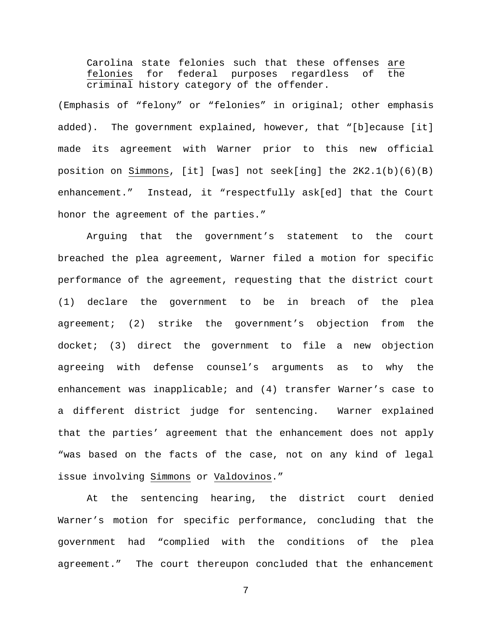Carolina state felonies such that these offenses are<br>felonies for federal purposes regardless of the felonies for federal purposes regardless of criminal history category of the offender.

(Emphasis of "felony" or "felonies" in original; other emphasis added). The government explained, however, that "[b]ecause [it] made its agreement with Warner prior to this new official position on Simmons, [it] [was] not seek[ing] the 2K2.1(b)(6)(B) enhancement." Instead, it "respectfully ask[ed] that the Court honor the agreement of the parties."

Arguing that the government's statement to the court breached the plea agreement, Warner filed a motion for specific performance of the agreement, requesting that the district court (1) declare the government to be in breach of the plea agreement; (2) strike the government's objection from the docket; (3) direct the government to file a new objection agreeing with defense counsel's arguments as to why the enhancement was inapplicable; and (4) transfer Warner's case to a different district judge for sentencing. Warner explained that the parties' agreement that the enhancement does not apply "was based on the facts of the case, not on any kind of legal issue involving Simmons or Valdovinos."

At the sentencing hearing, the district court denied Warner's motion for specific performance, concluding that the government had "complied with the conditions of the plea agreement." The court thereupon concluded that the enhancement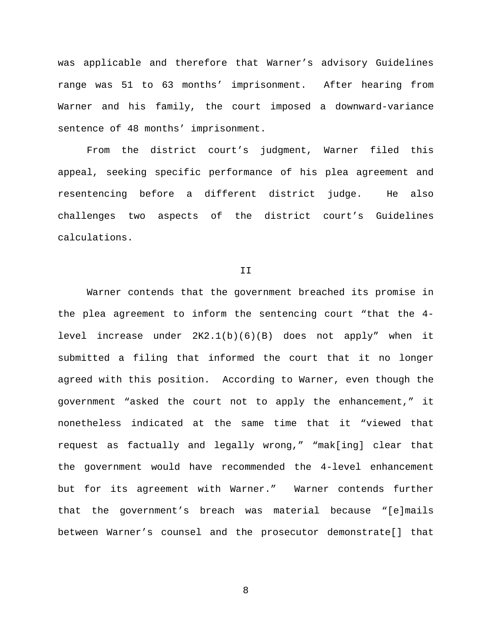was applicable and therefore that Warner's advisory Guidelines range was 51 to 63 months' imprisonment. After hearing from Warner and his family, the court imposed a downward-variance sentence of 48 months' imprisonment.

From the district court's judgment, Warner filed this appeal, seeking specific performance of his plea agreement and resentencing before a different district judge. He also challenges two aspects of the district court's Guidelines calculations.

II

Warner contends that the government breached its promise in the plea agreement to inform the sentencing court "that the 4 level increase under 2K2.1(b)(6)(B) does not apply" when it submitted a filing that informed the court that it no longer agreed with this position. According to Warner, even though the government "asked the court not to apply the enhancement," it nonetheless indicated at the same time that it "viewed that request as factually and legally wrong," "mak[ing] clear that the government would have recommended the 4-level enhancement but for its agreement with Warner." Warner contends further that the government's breach was material because "[e]mails between Warner's counsel and the prosecutor demonstrate[] that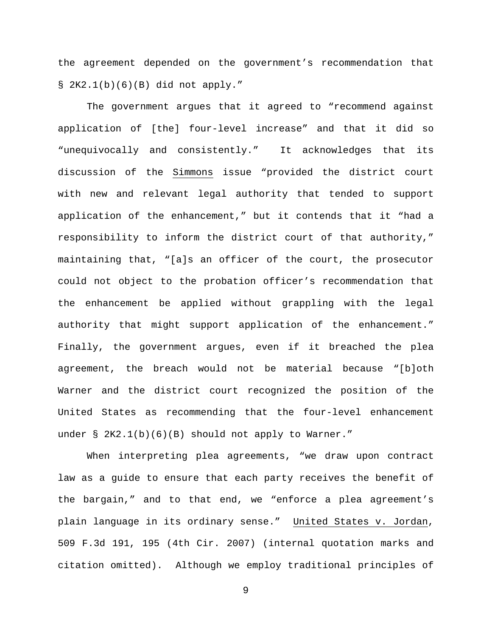the agreement depended on the government's recommendation that § 2K2.1(b)(6)(B) did not apply."

The government argues that it agreed to "recommend against application of [the] four-level increase" and that it did so "unequivocally and consistently." It acknowledges that its discussion of the Simmons issue "provided the district court with new and relevant legal authority that tended to support application of the enhancement," but it contends that it "had a responsibility to inform the district court of that authority," maintaining that, "[a]s an officer of the court, the prosecutor could not object to the probation officer's recommendation that the enhancement be applied without grappling with the legal authority that might support application of the enhancement." Finally, the government argues, even if it breached the plea agreement, the breach would not be material because "[b]oth Warner and the district court recognized the position of the United States as recommending that the four-level enhancement under § 2K2.1(b)(6)(B) should not apply to Warner."

When interpreting plea agreements, "we draw upon contract law as a guide to ensure that each party receives the benefit of the bargain," and to that end, we "enforce a plea agreement's plain language in its ordinary sense." United States v. Jordan, 509 F.3d 191, 195 (4th Cir. 2007) (internal quotation marks and citation omitted). Although we employ traditional principles of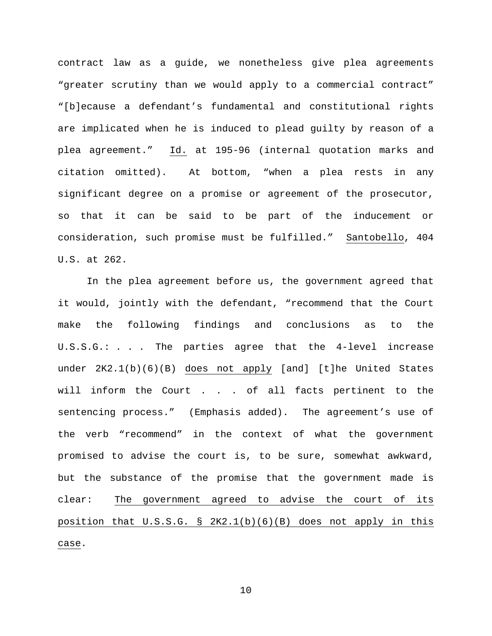contract law as a guide, we nonetheless give plea agreements "greater scrutiny than we would apply to a commercial contract" "[b]ecause a defendant's fundamental and constitutional rights are implicated when he is induced to plead guilty by reason of a plea agreement." Id. at 195-96 (internal quotation marks and citation omitted). At bottom, "when a plea rests in any significant degree on a promise or agreement of the prosecutor, so that it can be said to be part of the inducement or consideration, such promise must be fulfilled." Santobello, 404 U.S. at 262.

In the plea agreement before us, the government agreed that it would, jointly with the defendant, "recommend that the Court make the following findings and conclusions as to the U.S.S.G.: . . . The parties agree that the 4-level increase under 2K2.1(b)(6)(B) does not apply [and] [t]he United States will inform the Court . . . of all facts pertinent to the sentencing process." (Emphasis added). The agreement's use of the verb "recommend" in the context of what the government promised to advise the court is, to be sure, somewhat awkward, but the substance of the promise that the government made is clear: The government agreed to advise the court of its position that U.S.S.G. § 2K2.1(b)(6)(B) does not apply in this case.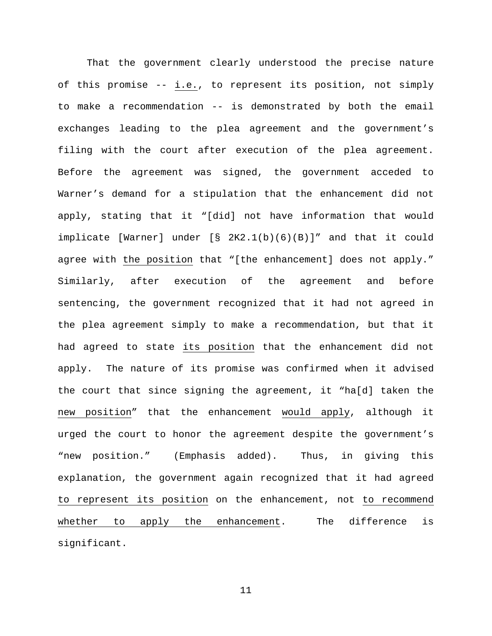That the government clearly understood the precise nature of this promise -- i.e., to represent its position, not simply to make a recommendation -- is demonstrated by both the email exchanges leading to the plea agreement and the government's filing with the court after execution of the plea agreement. Before the agreement was signed, the government acceded to Warner's demand for a stipulation that the enhancement did not apply, stating that it "[did] not have information that would implicate [Warner] under [§ 2K2.1(b)(6)(B)]" and that it could agree with the position that "[the enhancement] does not apply." Similarly, after execution of the agreement and before sentencing, the government recognized that it had not agreed in the plea agreement simply to make a recommendation, but that it had agreed to state its position that the enhancement did not apply. The nature of its promise was confirmed when it advised the court that since signing the agreement, it "ha[d] taken the new position" that the enhancement would apply, although it urged the court to honor the agreement despite the government's "new position." (Emphasis added). Thus, in giving this explanation, the government again recognized that it had agreed to represent its position on the enhancement, not to recommend whether to apply the enhancement. The difference is significant.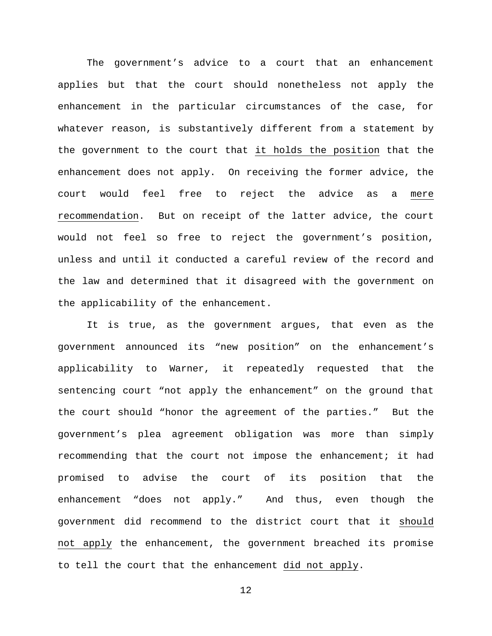The government's advice to a court that an enhancement applies but that the court should nonetheless not apply the enhancement in the particular circumstances of the case, for whatever reason, is substantively different from a statement by the government to the court that it holds the position that the enhancement does not apply. On receiving the former advice, the court would feel free to reject the advice as a mere recommendation. But on receipt of the latter advice, the court would not feel so free to reject the government's position, unless and until it conducted a careful review of the record and the law and determined that it disagreed with the government on the applicability of the enhancement.

It is true, as the government argues, that even as the government announced its "new position" on the enhancement's applicability to Warner, it repeatedly requested that the sentencing court "not apply the enhancement" on the ground that the court should "honor the agreement of the parties." But the government's plea agreement obligation was more than simply recommending that the court not impose the enhancement; it had promised to advise the court of its position that the enhancement "does not apply." And thus, even though the government did recommend to the district court that it should not apply the enhancement, the government breached its promise to tell the court that the enhancement did not apply.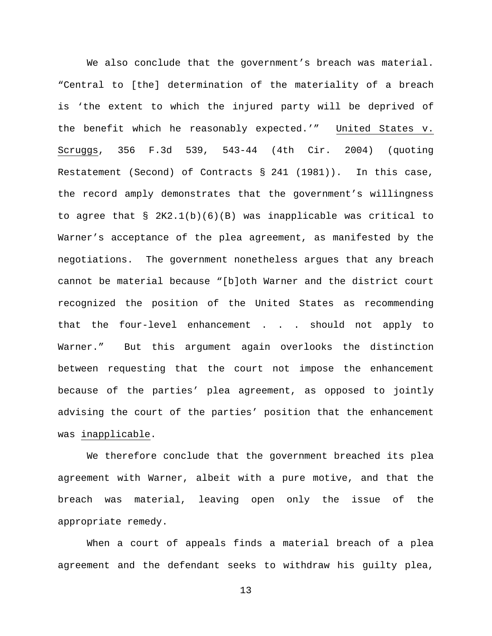We also conclude that the government's breach was material. "Central to [the] determination of the materiality of a breach is 'the extent to which the injured party will be deprived of the benefit which he reasonably expected.'" United States v. Scruggs, 356 F.3d 539, 543-44 (4th Cir. 2004) (quoting Restatement (Second) of Contracts § 241 (1981)). In this case, the record amply demonstrates that the government's willingness to agree that § 2K2.1(b)(6)(B) was inapplicable was critical to Warner's acceptance of the plea agreement, as manifested by the negotiations. The government nonetheless argues that any breach cannot be material because "[b]oth Warner and the district court recognized the position of the United States as recommending that the four-level enhancement . . . should not apply to Warner." But this argument again overlooks the distinction between requesting that the court not impose the enhancement because of the parties' plea agreement, as opposed to jointly advising the court of the parties' position that the enhancement was inapplicable.

We therefore conclude that the government breached its plea agreement with Warner, albeit with a pure motive, and that the breach was material, leaving open only the issue of the appropriate remedy.

When a court of appeals finds a material breach of a plea agreement and the defendant seeks to withdraw his guilty plea,